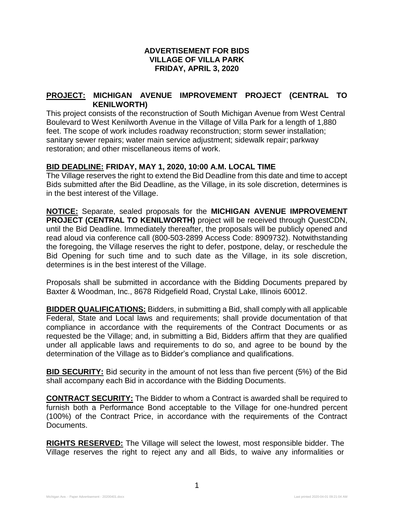## **ADVERTISEMENT FOR BIDS VILLAGE OF VILLA PARK FRIDAY, APRIL 3, 2020**

## **PROJECT: MICHIGAN AVENUE IMPROVEMENT PROJECT (CENTRAL TO KENILWORTH)**

This project consists of the reconstruction of South Michigan Avenue from West Central Boulevard to West Kenilworth Avenue in the Village of Villa Park for a length of 1,880 feet. The scope of work includes roadway reconstruction; storm sewer installation; sanitary sewer repairs; water main service adjustment; sidewalk repair; parkway restoration; and other miscellaneous items of work.

## **BID DEADLINE: FRIDAY, MAY 1, 2020, 10:00 A.M. LOCAL TIME**

The Village reserves the right to extend the Bid Deadline from this date and time to accept Bids submitted after the Bid Deadline, as the Village, in its sole discretion, determines is in the best interest of the Village.

**NOTICE:** Separate, sealed proposals for the **MICHIGAN AVENUE IMPROVEMENT PROJECT (CENTRAL TO KENILWORTH)** project will be received through QuestCDN, until the Bid Deadline. Immediately thereafter, the proposals will be publicly opened and read aloud via conference call (800-503-2899 Access Code: 8909732). Notwithstanding the foregoing, the Village reserves the right to defer, postpone, delay, or reschedule the Bid Opening for such time and to such date as the Village, in its sole discretion, determines is in the best interest of the Village.

Proposals shall be submitted in accordance with the Bidding Documents prepared by Baxter & Woodman, Inc., 8678 Ridgefield Road, Crystal Lake, Illinois 60012.

**BIDDER QUALIFICATIONS:** Bidders, in submitting a Bid, shall comply with all applicable Federal, State and Local laws and requirements; shall provide documentation of that compliance in accordance with the requirements of the Contract Documents or as requested be the Village; and, in submitting a Bid, Bidders affirm that they are qualified under all applicable laws and requirements to do so, and agree to be bound by the determination of the Village as to Bidder's compliance and qualifications.

**BID SECURITY:** Bid security in the amount of not less than five percent (5%) of the Bid shall accompany each Bid in accordance with the Bidding Documents.

**CONTRACT SECURITY:** The Bidder to whom a Contract is awarded shall be required to furnish both a Performance Bond acceptable to the Village for one-hundred percent (100%) of the Contract Price, in accordance with the requirements of the Contract Documents.

**RIGHTS RESERVED:** The Village will select the lowest, most responsible bidder. The Village reserves the right to reject any and all Bids, to waive any informalities or